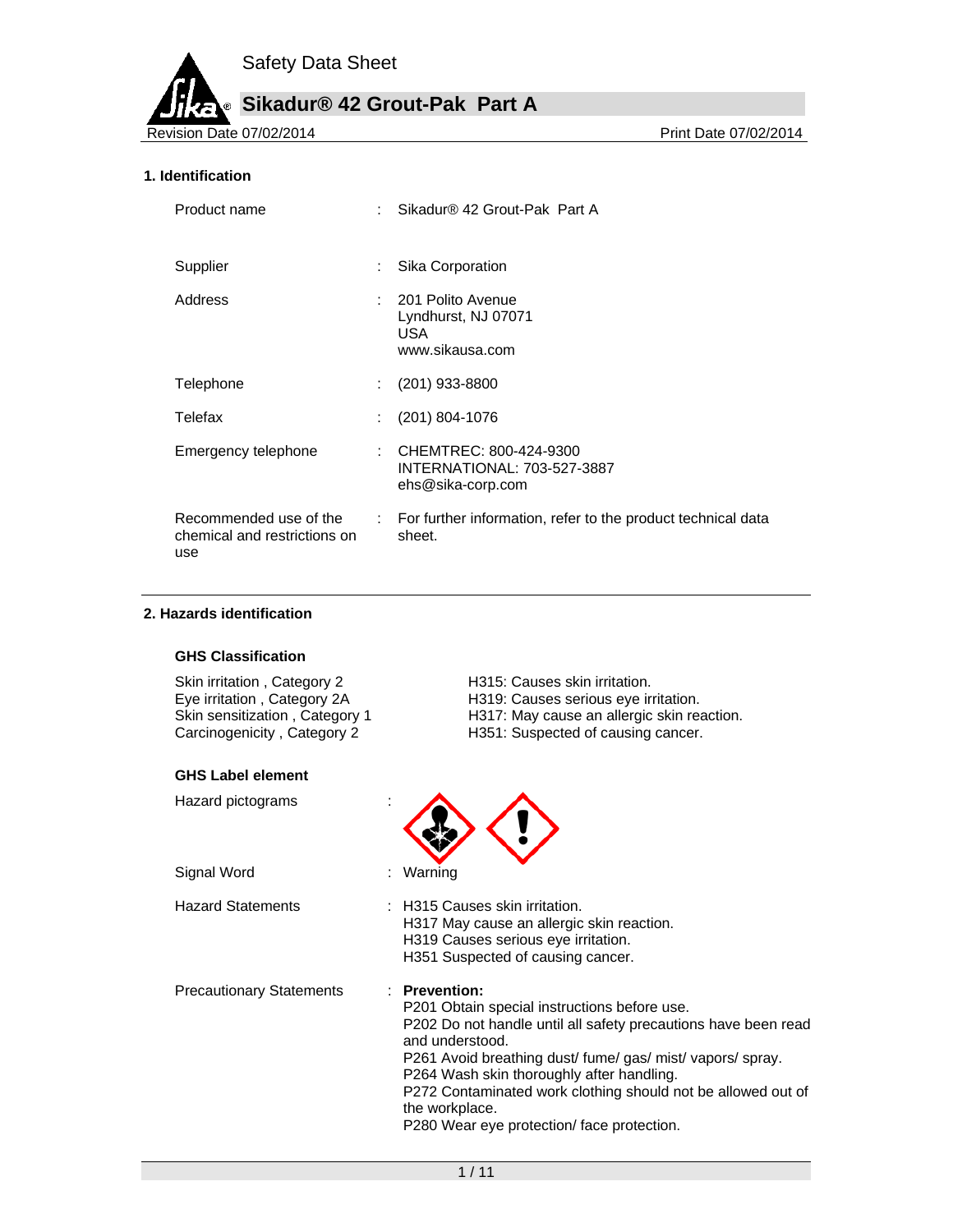**Sikadur® 42 Grout-Pak Part A**

Revision Date 07/02/2014 **Print Date 07/02/2014** 

#### **1. Identification**

| Product name                                                  |                              | Sikadur® 42 Grout-Pak Part A                                                        |
|---------------------------------------------------------------|------------------------------|-------------------------------------------------------------------------------------|
| Supplier                                                      | ÷                            | Sika Corporation                                                                    |
| Address                                                       |                              | : 201 Polito Avenue<br>Lyndhurst, NJ 07071<br>USA.<br>www.sikausa.com               |
| Telephone                                                     | ÷.                           | $(201)$ 933-8800                                                                    |
| Telefax                                                       | t.                           | (201) 804-1076                                                                      |
| Emergency telephone                                           |                              | : CHEMTREC: 800-424-9300<br><b>INTERNATIONAL: 703-527-3887</b><br>ehs@sika-corp.com |
| Recommended use of the<br>chemical and restrictions on<br>use | $\mathcal{L}_{\mathrm{max}}$ | For further information, refer to the product technical data<br>sheet.              |

#### **2. Hazards identification**

#### **GHS Classification**

| Skin irritation, Category 2    |  |
|--------------------------------|--|
| Eye irritation, Category 2A    |  |
| Skin sensitization, Category 1 |  |
| Carcinogenicity, Category 2    |  |

#### **GHS Label element**

Hazard pictograms :

Signal Word : Warning

- H315: Causes skin irritation. H319: Causes serious eye irritation. H317: May cause an allergic skin reaction.
- H351: Suspected of causing cancer.



- 
- Hazard Statements : H315 Causes skin irritation. H317 May cause an allergic skin reaction. H319 Causes serious eye irritation. H351 Suspected of causing cancer.

Precautionary Statements : **Prevention:** 

- 
- P201 Obtain special instructions before use. P202 Do not handle until all safety precautions have been read and understood. P261 Avoid breathing dust/ fume/ gas/ mist/ vapors/ spray. P264 Wash skin thoroughly after handling. P272 Contaminated work clothing should not be allowed out of the workplace.
	- P280 Wear eye protection/ face protection.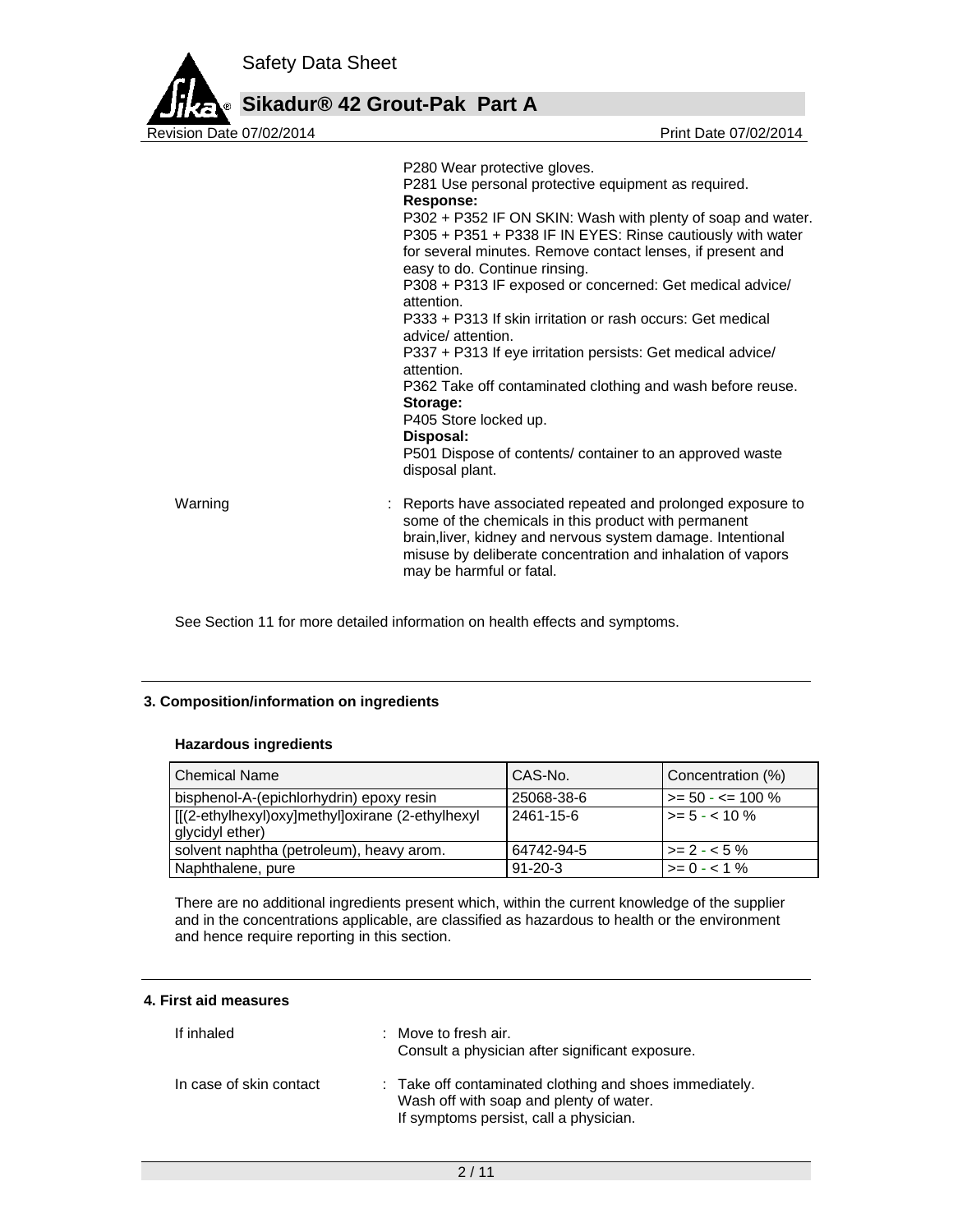

|         | P280 Wear protective gloves.<br>P281 Use personal protective equipment as required.<br><b>Response:</b><br>P302 + P352 IF ON SKIN: Wash with plenty of soap and water.<br>P305 + P351 + P338 IF IN EYES: Rinse cautiously with water<br>for several minutes. Remove contact lenses, if present and<br>easy to do. Continue rinsing.<br>P308 + P313 IF exposed or concerned: Get medical advice/<br>attention.<br>P333 + P313 If skin irritation or rash occurs: Get medical<br>advice/attention.<br>P337 + P313 If eye irritation persists: Get medical advice/<br>attention.<br>P362 Take off contaminated clothing and wash before reuse.<br>Storage:<br>P405 Store locked up.<br>Disposal:<br>P501 Dispose of contents/ container to an approved waste<br>disposal plant. |
|---------|------------------------------------------------------------------------------------------------------------------------------------------------------------------------------------------------------------------------------------------------------------------------------------------------------------------------------------------------------------------------------------------------------------------------------------------------------------------------------------------------------------------------------------------------------------------------------------------------------------------------------------------------------------------------------------------------------------------------------------------------------------------------------|
| Warning | : Reports have associated repeated and prolonged exposure to<br>some of the chemicals in this product with permanent<br>brain, liver, kidney and nervous system damage. Intentional<br>misuse by deliberate concentration and inhalation of vapors<br>may be harmful or fatal.                                                                                                                                                                                                                                                                                                                                                                                                                                                                                               |
|         |                                                                                                                                                                                                                                                                                                                                                                                                                                                                                                                                                                                                                                                                                                                                                                              |

See Section 11 for more detailed information on health effects and symptoms.

#### **3. Composition/information on ingredients**

#### **Hazardous ingredients**

| l Chemical Name                                                     | CAS-No.       | Concentration (%)     |
|---------------------------------------------------------------------|---------------|-----------------------|
| bisphenol-A-(epichlorhydrin) epoxy resin                            | 25068-38-6    | l >= 50 - <= 100 %    |
| [[(2-ethylhexyl)oxy]methyl]oxirane (2-ethylhexyl<br>glycidyl ether) | 2461-15-6     | $\vert$ >= 5 - < 10 % |
| solvent naphtha (petroleum), heavy arom.                            | 64742-94-5    | $\vert$ >= 2 - < 5 %  |
| Naphthalene, pure                                                   | $91 - 20 - 3$ | $>= 0 - 1\%$          |

There are no additional ingredients present which, within the current knowledge of the supplier and in the concentrations applicable, are classified as hazardous to health or the environment and hence require reporting in this section.

### **4. First aid measures**

| If inhaled              | $\therefore$ Move to fresh air.<br>Consult a physician after significant exposure.                                                           |
|-------------------------|----------------------------------------------------------------------------------------------------------------------------------------------|
| In case of skin contact | : Take off contaminated clothing and shoes immediately.<br>Wash off with soap and plenty of water.<br>If symptoms persist, call a physician. |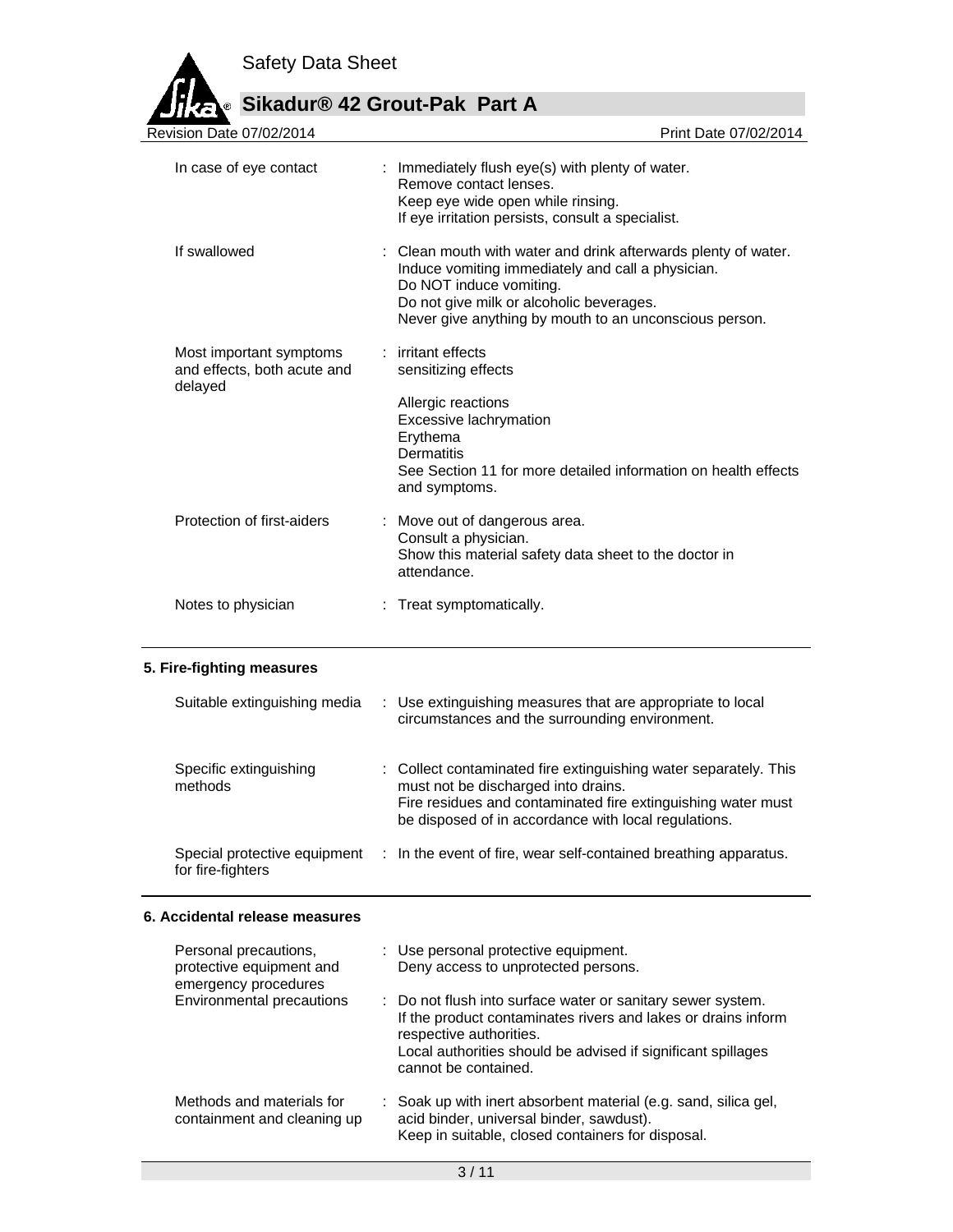

# Sikadur® 42 Grout-Pak Part A

| <b>Revision Date 07/02/2014</b>                                   | Print Date 07/02/2014                                                                                                                                                                                                                                |
|-------------------------------------------------------------------|------------------------------------------------------------------------------------------------------------------------------------------------------------------------------------------------------------------------------------------------------|
| In case of eye contact                                            | : Immediately flush eye(s) with plenty of water.<br>Remove contact lenses.<br>Keep eye wide open while rinsing.<br>If eye irritation persists, consult a specialist.                                                                                 |
| If swallowed                                                      | : Clean mouth with water and drink afterwards plenty of water.<br>Induce vomiting immediately and call a physician.<br>Do NOT induce vomiting.<br>Do not give milk or alcoholic beverages.<br>Never give anything by mouth to an unconscious person. |
| Most important symptoms<br>and effects, both acute and<br>delayed | : irritant effects<br>sensitizing effects<br>Allergic reactions<br>Excessive lachrymation<br>Erythema<br>Dermatitis<br>See Section 11 for more detailed information on health effects<br>and symptoms.                                               |
| Protection of first-aiders                                        | : Move out of dangerous area.<br>Consult a physician.<br>Show this material safety data sheet to the doctor in<br>attendance.                                                                                                                        |
| Notes to physician                                                | : Treat symptomatically.                                                                                                                                                                                                                             |

## **5. Fire-fighting measures**

| Suitable extinguishing media                      | : Use extinguishing measures that are appropriate to local<br>circumstances and the surrounding environment.                                                                                                                    |
|---------------------------------------------------|---------------------------------------------------------------------------------------------------------------------------------------------------------------------------------------------------------------------------------|
| Specific extinguishing<br>methods                 | : Collect contaminated fire extinguishing water separately. This<br>must not be discharged into drains.<br>Fire residues and contaminated fire extinguishing water must<br>be disposed of in accordance with local regulations. |
| Special protective equipment<br>for fire-fighters | : In the event of fire, wear self-contained breathing apparatus.                                                                                                                                                                |

#### **6. Accidental release measures**

| Personal precautions,<br>protective equipment and<br>emergency procedures | : Use personal protective equipment.<br>Deny access to unprotected persons.                   |                                                                                                                                                                                              |
|---------------------------------------------------------------------------|-----------------------------------------------------------------------------------------------|----------------------------------------------------------------------------------------------------------------------------------------------------------------------------------------------|
| Environmental precautions                                                 | respective authorities.<br>cannot be contained.                                               | : Do not flush into surface water or sanitary sewer system.<br>If the product contaminates rivers and lakes or drains inform<br>Local authorities should be advised if significant spillages |
| Methods and materials for<br>containment and cleaning up                  | acid binder, universal binder, sawdust).<br>Keep in suitable, closed containers for disposal. | : Soak up with inert absorbent material (e.g. sand, silica gel,                                                                                                                              |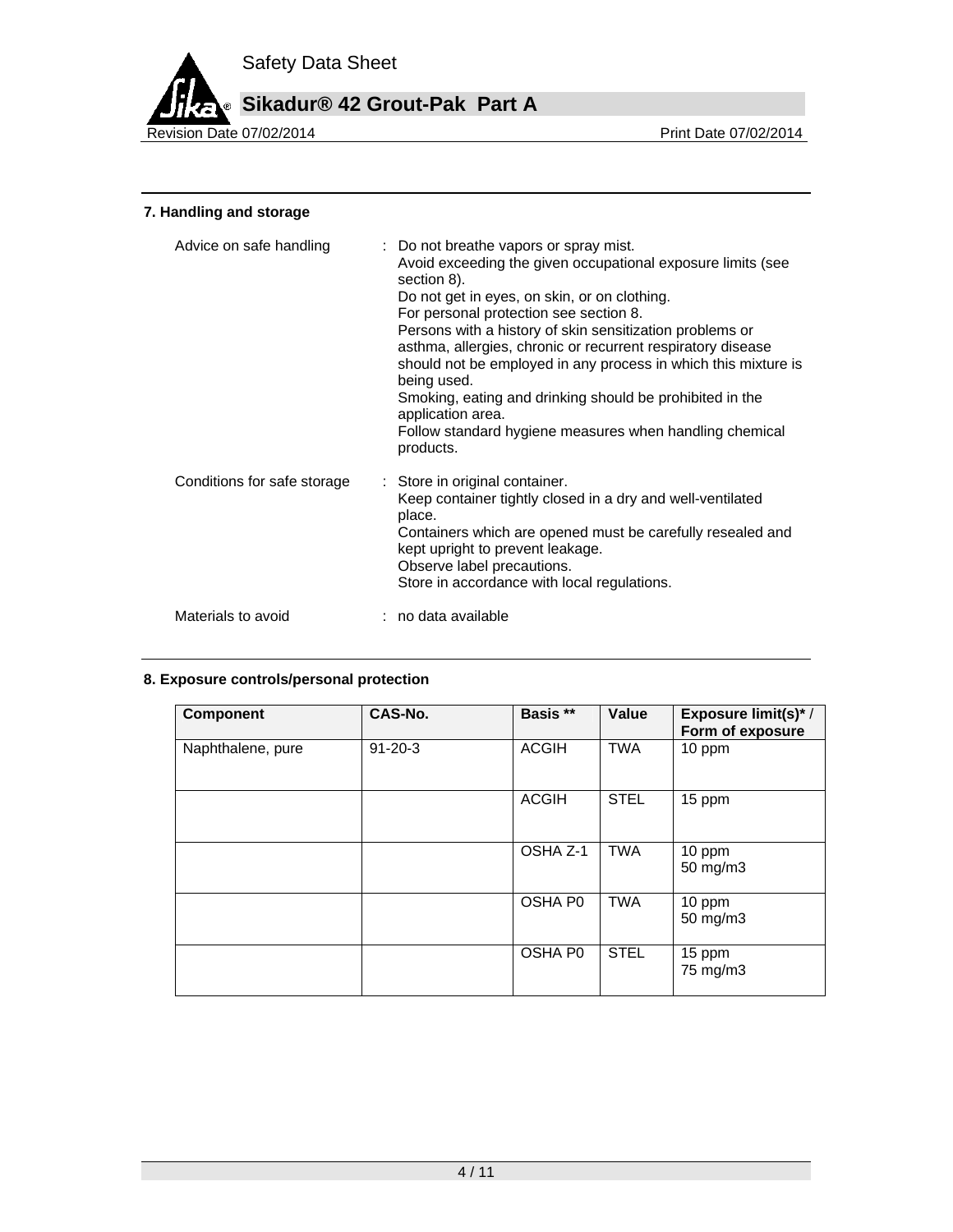

**Sikadur® 42 Grout-Pak Part A**

Revision Date 07/02/2014

## **7. Handling and storage**

| Advice on safe handling     | : Do not breathe vapors or spray mist.<br>Avoid exceeding the given occupational exposure limits (see<br>section 8).<br>Do not get in eyes, on skin, or on clothing.<br>For personal protection see section 8.<br>Persons with a history of skin sensitization problems or<br>asthma, allergies, chronic or recurrent respiratory disease<br>should not be employed in any process in which this mixture is<br>being used.<br>Smoking, eating and drinking should be prohibited in the<br>application area.<br>Follow standard hygiene measures when handling chemical<br>products. |
|-----------------------------|-------------------------------------------------------------------------------------------------------------------------------------------------------------------------------------------------------------------------------------------------------------------------------------------------------------------------------------------------------------------------------------------------------------------------------------------------------------------------------------------------------------------------------------------------------------------------------------|
| Conditions for safe storage | : Store in original container.<br>Keep container tightly closed in a dry and well-ventilated<br>place.<br>Containers which are opened must be carefully resealed and<br>kept upright to prevent leakage.<br>Observe label precautions.<br>Store in accordance with local regulations.                                                                                                                                                                                                                                                                                               |
| Materials to avoid          | : no data available                                                                                                                                                                                                                                                                                                                                                                                                                                                                                                                                                                 |

## **8. Exposure controls/personal protection**

| <b>Component</b>  | CAS-No.       | Basis **     | Value       | Exposure limit(s)* /<br>Form of exposure |
|-------------------|---------------|--------------|-------------|------------------------------------------|
| Naphthalene, pure | $91 - 20 - 3$ | <b>ACGIH</b> | <b>TWA</b>  | 10 ppm                                   |
|                   |               | <b>ACGIH</b> | <b>STEL</b> | 15 ppm                                   |
|                   |               | OSHA Z-1     | TWA         | 10 ppm<br>50 mg/m3                       |
|                   |               | OSHA P0      | <b>TWA</b>  | 10 ppm<br>50 mg/m3                       |
|                   |               | OSHA P0      | <b>STEL</b> | 15 ppm<br>75 mg/m3                       |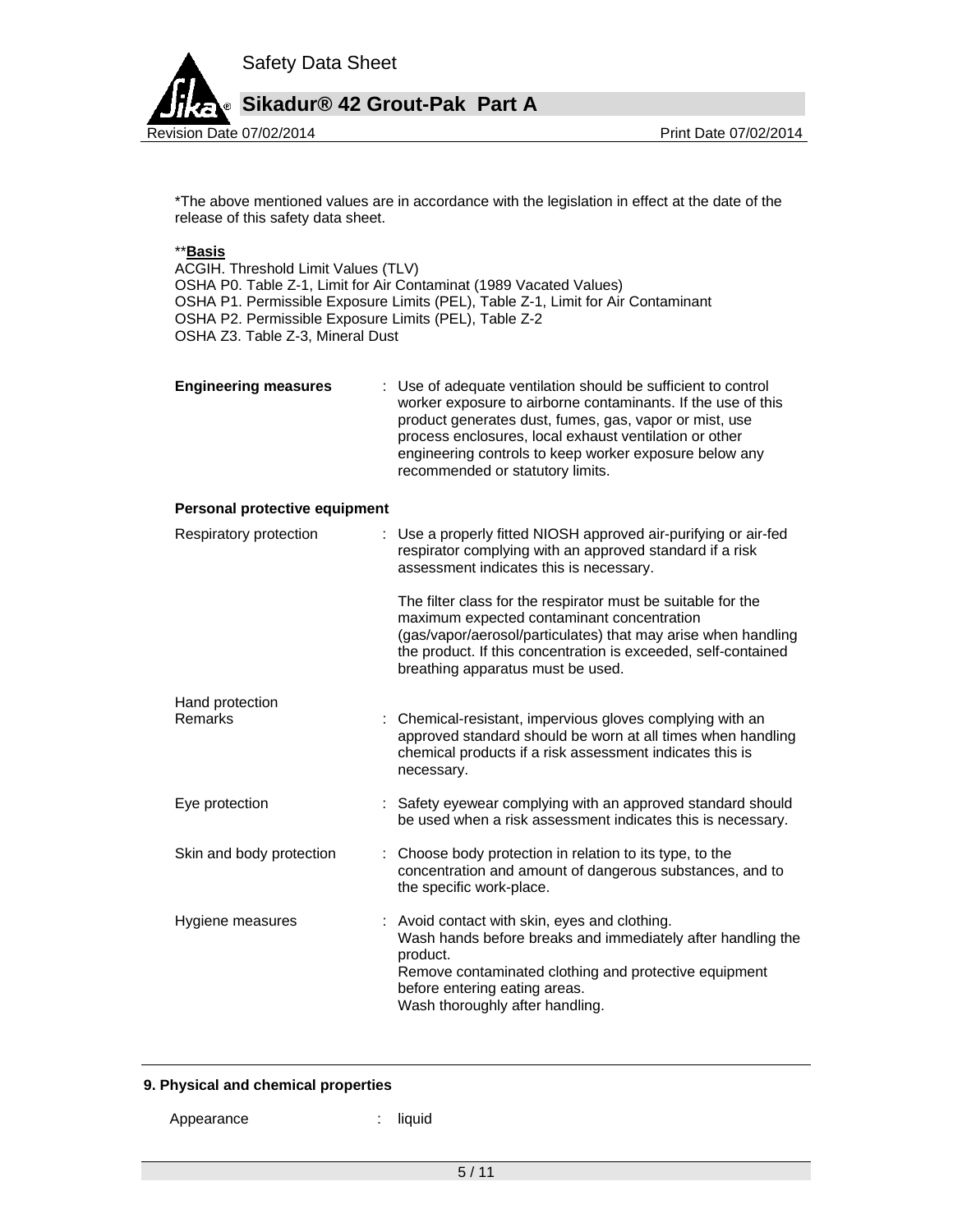

\*The above mentioned values are in accordance with the legislation in effect at the date of the release of this safety data sheet.

#### \*\***Basis**

ACGIH. Threshold Limit Values (TLV) OSHA P0. Table Z-1, Limit for Air Contaminat (1989 Vacated Values) OSHA P1. Permissible Exposure Limits (PEL), Table Z-1, Limit for Air Contaminant OSHA P2. Permissible Exposure Limits (PEL), Table Z-2 OSHA Z3. Table Z-3, Mineral Dust

| <b>Engineering measures</b> | : Use of adequate ventilation should be sufficient to control<br>worker exposure to airborne contaminants. If the use of this<br>product generates dust, fumes, gas, vapor or mist, use<br>process enclosures, local exhaust ventilation or other<br>engineering controls to keep worker exposure below any<br>recommended or statutory limits. |
|-----------------------------|-------------------------------------------------------------------------------------------------------------------------------------------------------------------------------------------------------------------------------------------------------------------------------------------------------------------------------------------------|
|                             |                                                                                                                                                                                                                                                                                                                                                 |

#### **Personal protective equipment**

| Respiratory protection   | : Use a properly fitted NIOSH approved air-purifying or air-fed<br>respirator complying with an approved standard if a risk<br>assessment indicates this is necessary.                                                                                                             |
|--------------------------|------------------------------------------------------------------------------------------------------------------------------------------------------------------------------------------------------------------------------------------------------------------------------------|
|                          | The filter class for the respirator must be suitable for the<br>maximum expected contaminant concentration<br>(gas/vapor/aerosol/particulates) that may arise when handling<br>the product. If this concentration is exceeded, self-contained<br>breathing apparatus must be used. |
| Hand protection          |                                                                                                                                                                                                                                                                                    |
| Remarks                  | : Chemical-resistant, impervious gloves complying with an<br>approved standard should be worn at all times when handling<br>chemical products if a risk assessment indicates this is<br>necessary.                                                                                 |
| Eye protection           | : Safety eyewear complying with an approved standard should<br>be used when a risk assessment indicates this is necessary.                                                                                                                                                         |
| Skin and body protection | : Choose body protection in relation to its type, to the<br>concentration and amount of dangerous substances, and to<br>the specific work-place.                                                                                                                                   |
| Hygiene measures         | : Avoid contact with skin, eyes and clothing.<br>Wash hands before breaks and immediately after handling the<br>product.<br>Remove contaminated clothing and protective equipment<br>before entering eating areas.<br>Wash thoroughly after handling.                              |

#### **9. Physical and chemical properties**

Appearance : liquid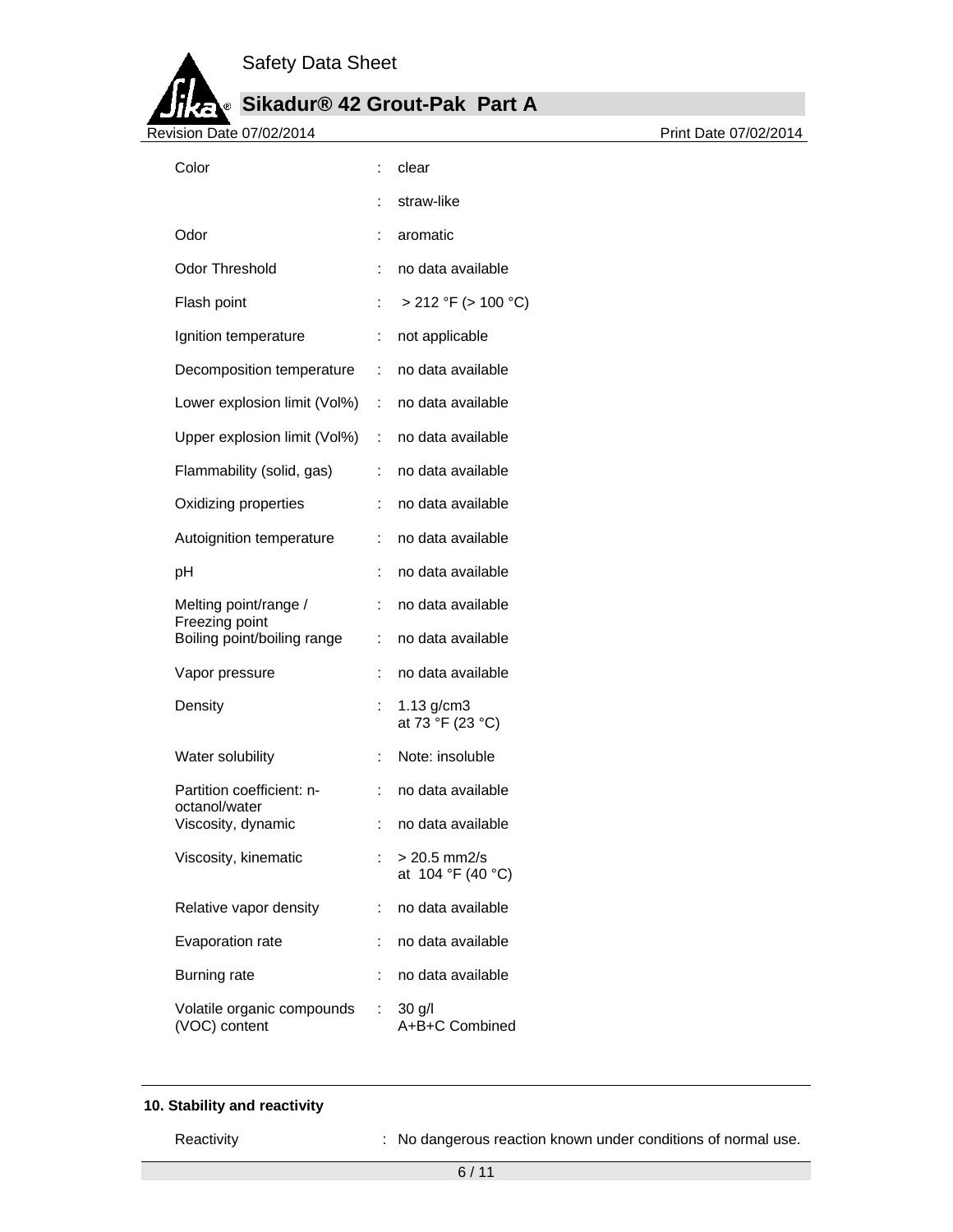H

# **Sikadur® 42 Grout-Pak Part A**

| <u> ДАЧ-1</u><br><br>. .<br>╸<br>Revision Date 07/02/2014 |                      |                                     |
|-----------------------------------------------------------|----------------------|-------------------------------------|
| Color                                                     | ÷                    | clear                               |
|                                                           |                      | straw-like                          |
| Odor                                                      | ÷                    | aromatic                            |
| <b>Odor Threshold</b>                                     |                      | no data available                   |
| Flash point                                               | ÷                    | $> 212$ °F ( $> 100$ °C)            |
| Ignition temperature                                      | ÷                    | not applicable                      |
| Decomposition temperature                                 | ÷                    | no data available                   |
| Lower explosion limit (Vol%)                              | ÷                    | no data available                   |
| Upper explosion limit (Vol%) :                            |                      | no data available                   |
| Flammability (solid, gas)                                 | ÷                    | no data available                   |
| Oxidizing properties                                      | ÷                    | no data available                   |
| Autoignition temperature                                  | ÷                    | no data available                   |
| pH                                                        | t                    | no data available                   |
| Melting point/range /<br>Freezing point                   | ÷                    | no data available                   |
| Boiling point/boiling range                               | ÷                    | no data available                   |
| Vapor pressure                                            | ÷                    | no data available                   |
| Density                                                   | $\ddot{\phantom{a}}$ | $1.13$ g/cm $3$<br>at 73 °F (23 °C) |
| Water solubility                                          | ÷                    | Note: insoluble                     |
| Partition coefficient: n-<br>octanol/water                |                      | no data available                   |
| Viscosity, dynamic                                        |                      | no data available                   |
| Viscosity, kinematic                                      | ÷                    | $> 20.5$ mm2/s<br>at 104 °F (40 °C) |
| Relative vapor density                                    | ÷                    | no data available                   |
| Evaporation rate                                          | ÷                    | no data available                   |
| <b>Burning rate</b>                                       | ÷                    | no data available                   |
| Volatile organic compounds<br>(VOC) content               | ÷                    | $30$ g/l<br>A+B+C Combined          |

## **10. Stability and reactivity**

Reactivity **Reactivity** : No dangerous reaction known under conditions of normal use.

Revision Date 07/02/2014 Print Date 07/02/2014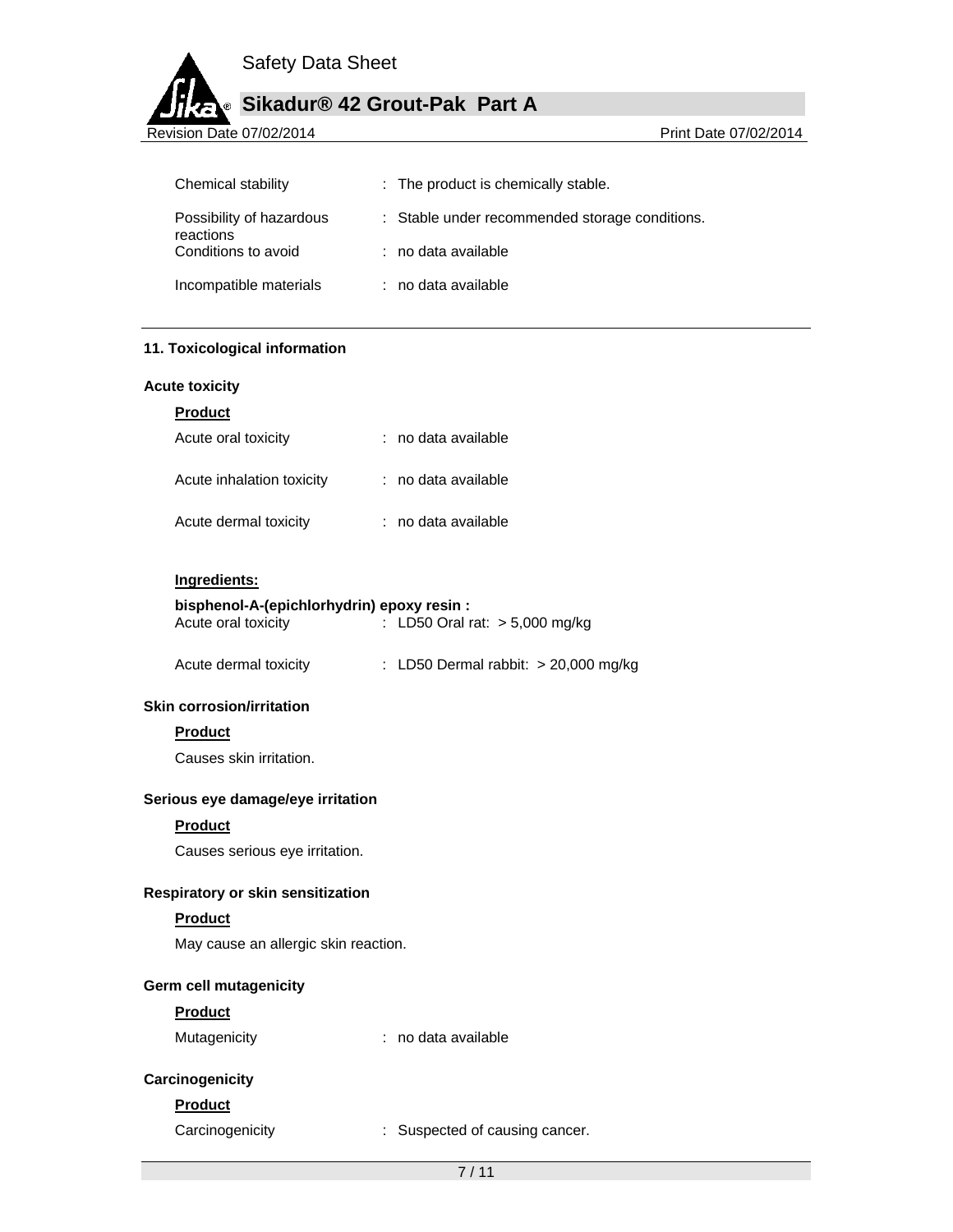## **Sikadur® 42 Grout-Pak Part A**

Revision Date 07/02/2014 **Revision Date 07/02/2014** 

| Chemical stability                    | : The product is chemically stable.            |
|---------------------------------------|------------------------------------------------|
| Possibility of hazardous<br>reactions | : Stable under recommended storage conditions. |
| Conditions to avoid                   | $:$ no data available                          |
| Incompatible materials                | : no data available                            |

#### **11. Toxicological information**

#### **Acute toxicity**

| н |  |
|---|--|
|   |  |

| Acute oral toxicity       | : no data available |
|---------------------------|---------------------|
| Acute inhalation toxicity | : no data available |
| Acute dermal toxicity     | : no data available |

#### **Ingredients:**

## **bisphenol-A-(epichlorhydrin) epoxy resin :**

| Acute oral toxicity | : LD50 Oral rat: $> 5,000$ mg/kg |  |
|---------------------|----------------------------------|--|
|                     |                                  |  |

| Acute dermal toxicity |  | : LD50 Dermal rabbit: $> 20,000$ mg/kg |  |  |
|-----------------------|--|----------------------------------------|--|--|
|-----------------------|--|----------------------------------------|--|--|

#### **Skin corrosion/irritation**

#### **Product**

Causes skin irritation.

#### **Serious eye damage/eye irritation**

#### **Product**

Causes serious eye irritation.

#### **Respiratory or skin sensitization**

#### **Product**

May cause an allergic skin reaction.

#### **Germ cell mutagenicity**

#### **Product**

Mutagenicity **intervalle** : no data available

## **Carcinogenicity**

## **Product**

Carcinogenicity : Suspected of causing cancer.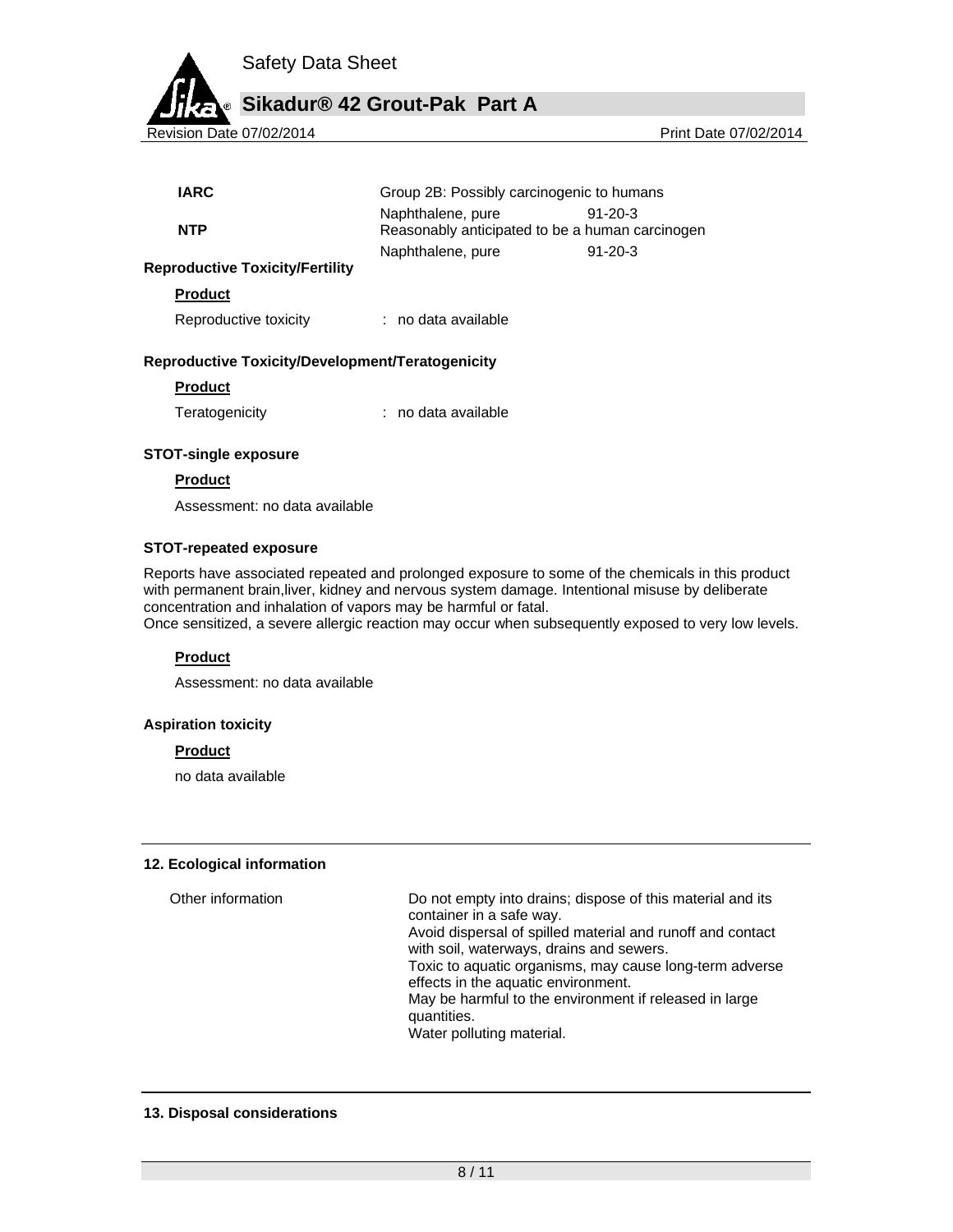

Revision Date 07/02/2014 2012 2014

| IARC       | Group 2B: Possibly carcinogenic to humans                            |           |
|------------|----------------------------------------------------------------------|-----------|
| <b>NTP</b> | Naphthalene, pure<br>Reasonably anticipated to be a human carcinogen | $91-20-3$ |
|            | Naphthalene, pure                                                    | $91-20-3$ |

#### **Reproductive Toxicity/Fertility**

**Product** 

Reproductive toxicity : no data available

#### **Reproductive Toxicity/Development/Teratogenicity**

#### **Product**

| Teratogenicity | no data available |
|----------------|-------------------|
|                |                   |

#### **STOT-single exposure**

#### **Product**

Assessment: no data available

#### **STOT-repeated exposure**

Reports have associated repeated and prolonged exposure to some of the chemicals in this product with permanent brain,liver, kidney and nervous system damage. Intentional misuse by deliberate concentration and inhalation of vapors may be harmful or fatal.

Once sensitized, a severe allergic reaction may occur when subsequently exposed to very low levels.

#### **Product**

Assessment: no data available

#### **Aspiration toxicity**

#### **Product**

no data available

#### **12. Ecological information**

Other information Do not empty into drains; dispose of this material and its container in a safe way. Avoid dispersal of spilled material and runoff and contact with soil, waterways, drains and sewers. Toxic to aquatic organisms, may cause long-term adverse effects in the aquatic environment. May be harmful to the environment if released in large quantities. Water polluting material.

#### **13. Disposal considerations**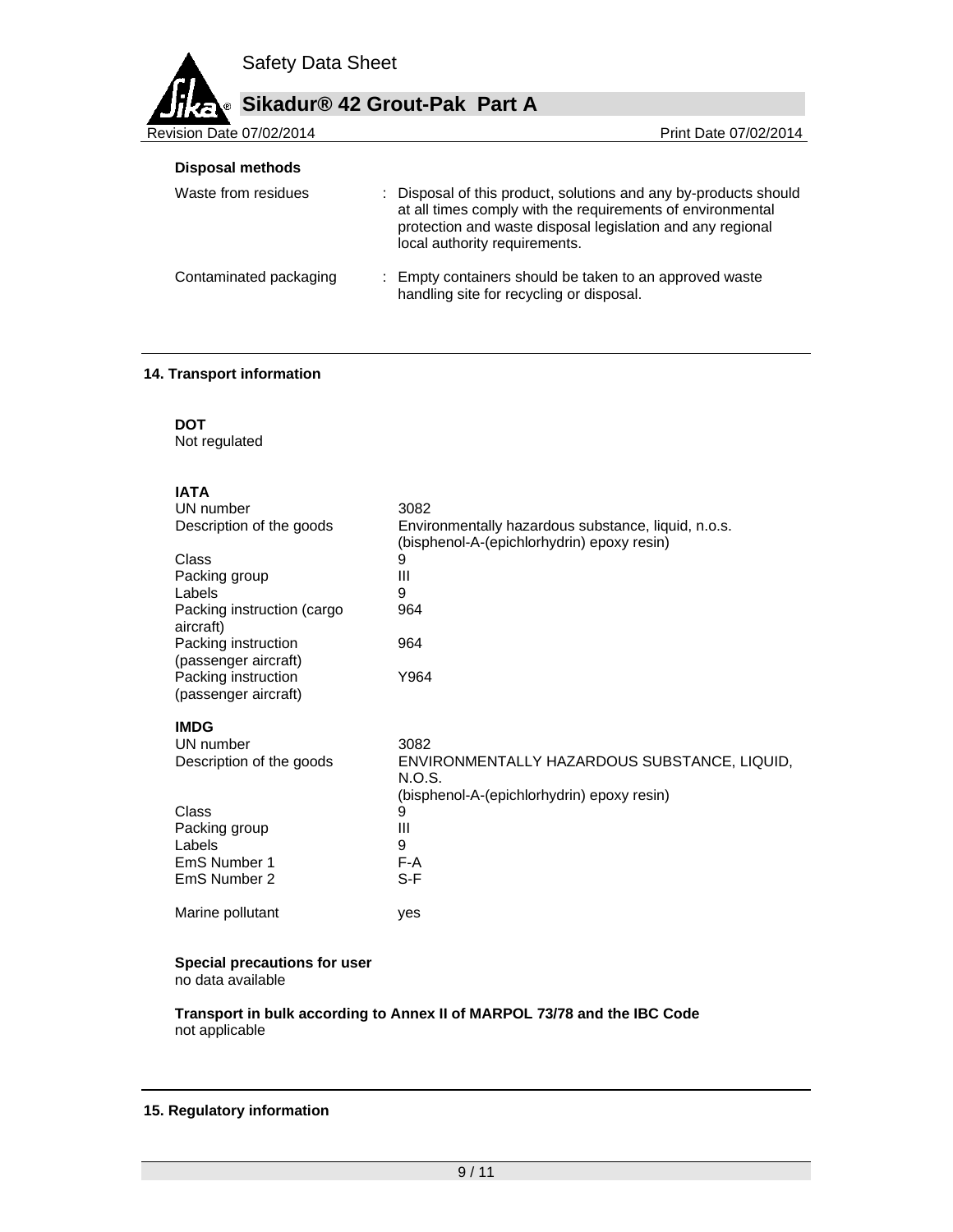## **Sikadur® 42 Grout-Pak Part A**

Revision Date 07/02/2014 **Revision Date 07/02/2014 Disposal methods** 

| Waste from residues    | : Disposal of this product, solutions and any by-products should<br>at all times comply with the requirements of environmental<br>protection and waste disposal legislation and any regional<br>local authority requirements. |
|------------------------|-------------------------------------------------------------------------------------------------------------------------------------------------------------------------------------------------------------------------------|
| Contaminated packaging | : Empty containers should be taken to an approved waste<br>handling site for recycling or disposal.                                                                                                                           |

#### **14. Transport information**

**DOT** 

Not regulated

## **IATA**

| UN number                                   | 3082                                                                                              |
|---------------------------------------------|---------------------------------------------------------------------------------------------------|
| Description of the goods                    | Environmentally hazardous substance, liquid, n.o.s.<br>(bisphenol-A-(epichlorhydrin) epoxy resin) |
| Class                                       | 9                                                                                                 |
| Packing group                               | Ш                                                                                                 |
| Labels                                      | 9                                                                                                 |
| Packing instruction (cargo<br>aircraft)     | 964                                                                                               |
| Packing instruction<br>(passenger aircraft) | 964                                                                                               |
| Packing instruction<br>(passenger aircraft) | Y964                                                                                              |
| IMDG                                        |                                                                                                   |
| UN number                                   | 3082                                                                                              |
| Description of the goods                    | ENVIRONMENTALLY HAZARDOUS SUBSTANCE, LIQUID,<br>N.O.S.                                            |
|                                             | (bisphenol-A-(epichlorhydrin) epoxy resin)                                                        |
| Class                                       | 9                                                                                                 |
| Packing group                               | Ш                                                                                                 |
| Labels                                      | 9                                                                                                 |
| EmS Number 1                                | F-A                                                                                               |
| EmS Number 2                                | S-F                                                                                               |
| Marine pollutant                            | yes                                                                                               |

### **Special precautions for user**

no data available

**Transport in bulk according to Annex II of MARPOL 73/78 and the IBC Code**  not applicable

#### **15. Regulatory information**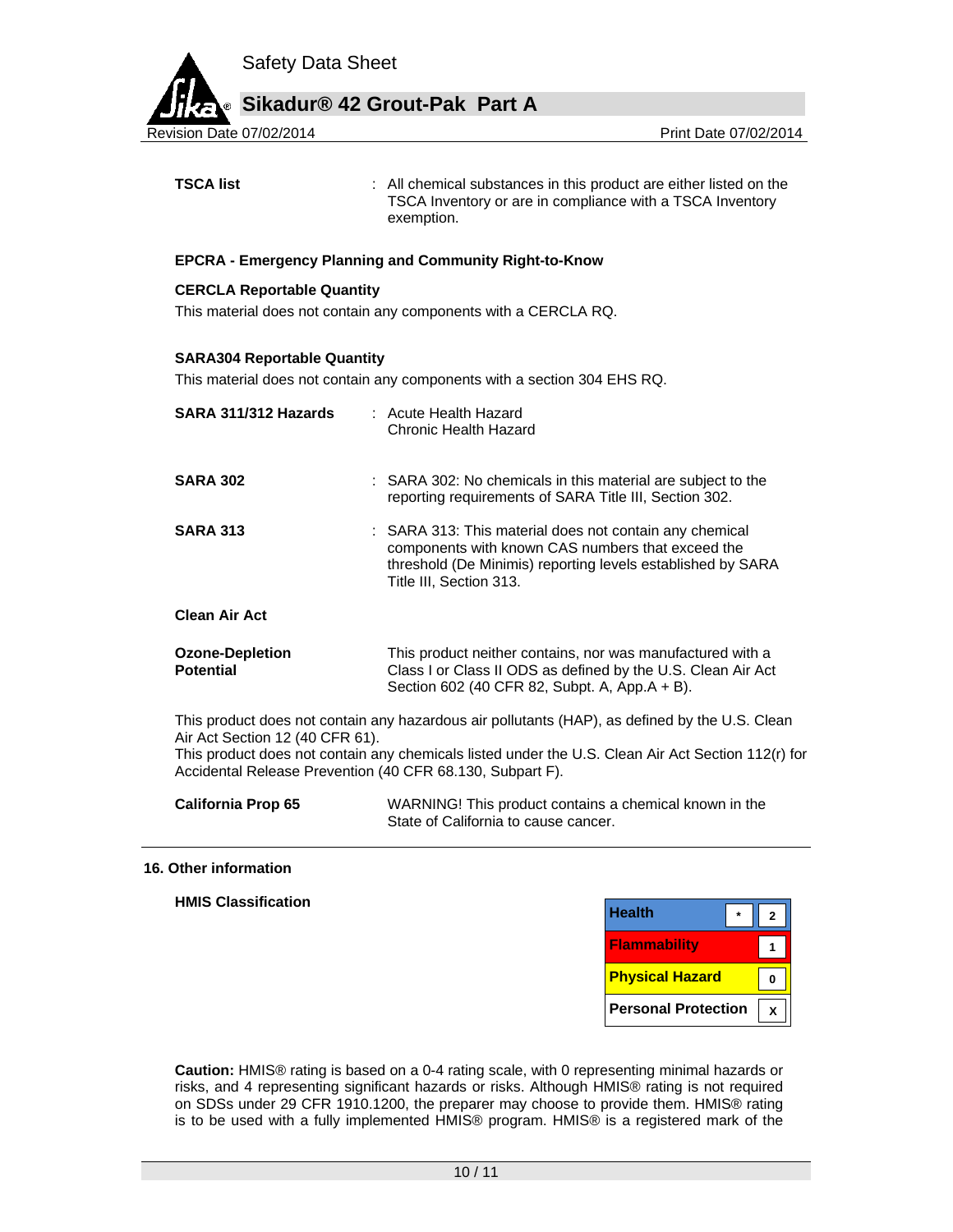

**TSCA list** : All chemical substances in this product are either listed on the TSCA Inventory or are in compliance with a TSCA Inventory exemption.

#### **EPCRA - Emergency Planning and Community Right-to-Know**

#### **CERCLA Reportable Quantity**

This material does not contain any components with a CERCLA RQ.

#### **SARA304 Reportable Quantity**

This material does not contain any components with a section 304 EHS RQ.

| SARA 311/312 Hazards                                      | : Acute Health Hazard<br>Chronic Health Hazard                                                                                                                                                         |
|-----------------------------------------------------------|--------------------------------------------------------------------------------------------------------------------------------------------------------------------------------------------------------|
| <b>SARA 302</b>                                           | : SARA 302: No chemicals in this material are subject to the<br>reporting requirements of SARA Title III, Section 302.                                                                                 |
| <b>SARA 313</b>                                           | : SARA 313: This material does not contain any chemical<br>components with known CAS numbers that exceed the<br>threshold (De Minimis) reporting levels established by SARA<br>Title III, Section 313. |
| <b>Clean Air Act</b>                                      |                                                                                                                                                                                                        |
| <b>Ozone-Depletion</b><br><b>Potential</b>                | This product neither contains, nor was manufactured with a<br>Class I or Class II ODS as defined by the U.S. Clean Air Act<br>Section 602 (40 CFR 82, Subpt. A, App.A + B).                            |
| Air Act Section 12 (40 CFR 61).                           | This product does not contain any hazardous air pollutants (HAP), as defined by the U.S. Clean                                                                                                         |
| Accidental Release Prevention (40 CFR 68.130, Subpart F). | This product does not contain any chemicals listed under the U.S. Clean Air Act Section 112(r) for                                                                                                     |

**California Prop 65** WARNING! This product contains a chemical known in the State of California to cause cancer.

#### **16. Other information**

| $\star$<br>ົ              | <b>Health</b>              |
|---------------------------|----------------------------|
|                           | <b>Flammability</b>        |
| $\mathbf{0}$              | <b>Physical Hazard</b>     |
| $\boldsymbol{\mathsf{x}}$ | <b>Personal Protection</b> |

**Caution:** HMIS® rating is based on a 0-4 rating scale, with 0 representing minimal hazards or risks, and 4 representing significant hazards or risks. Although HMIS® rating is not required on SDSs under 29 CFR 1910.1200, the preparer may choose to provide them. HMIS® rating is to be used with a fully implemented HMIS® program. HMIS® is a registered mark of the